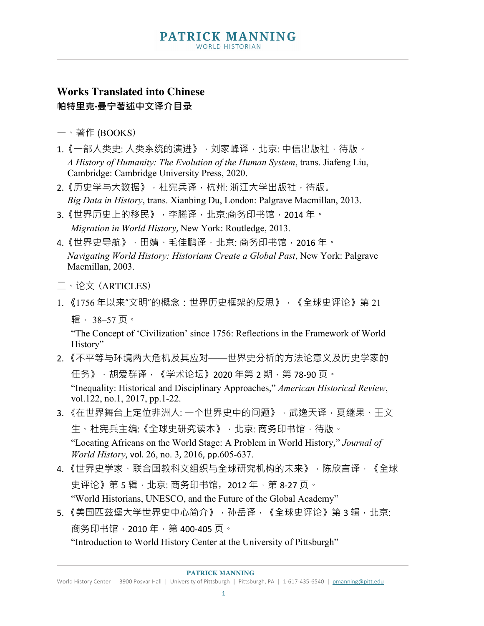## **PATRICK MANNING WORLD HISTORIAN**

## **Works Translated into Chinese 帕特里克·曼宁著述中文译介目录**

- 一、著作 (BOOKS)
- 1. 《一部人类史: 人类系统的演进》, 刘家峰译, 北京: 中信出版社, 待版。 *A History of Humanity: The Evolution of the Human System*, trans. Jiafeng Liu, Cambridge: Cambridge University Press, 2020.
- 2.《历史学与大数据》,杜宪兵译,杭州: 浙江大学出版社,待版。 *Big Data in History*, trans. Xianbing Du, London: Palgrave Macmillan, 2013.
- 3.《世界历史上的移民》,李腾译,北京:商务印书馆,2014年。 *Migration in World History*, New York: Routledge, 2013.
- 4.《世界史导航》,田婧、毛佳鹏译,北京: 商务印书馆,2016 年。 *Navigating World History: Historians Create a Global Past*, New York: Palgrave Macmillan, 2003.
- 二、论文 (ARTICLES)
- 1. 《1756年以来"文明"的概念:世界历史框架的反思》,《全球史评论》第21
	- 辑, 38–57 页。

"The Concept of 'Civilization' since 1756: Reflections in the Framework of World History"

2. 《不平等与环境两大危机及其应对——世界史分析的方法论意义及历史学家的 任务》,胡爱群译,《学术论坛》2020 年第 2 期,第 78-90 页。

"Inequality: Historical and Disciplinary Approaches," *American Historical Review*, vol.122, no.1, 2017, pp.1-22.

- 3. 《在世界舞台上定位非洲人: 一个世界史中的问题》, 武逸天译, 夏继果、王文 生、杜宪兵主编:《全球史研究读本》,北京: 商务印书馆,待版。 "Locating Africans on the World Stage: A Problem in World History," *Journal of World History*, vol. 26, no. 3, 2016, pp.605-637.
- 4. 《世界史学家、联合国教科文组织与全球研究机构的未来》,陈欣言译,《全球 史评论》第 5 辑, 北京: 商务印书馆, 2012 年, 第 8-27 页。 "World Historians, UNESCO, and the Future of the Global Academy"
- 5. 《美国匹兹堡大学世界史中心简介》,孙岳译,《全球史评论》第3辑,北京: 商务印书馆, 2010年, 第 400-405页。

"Introduction to World History Center at the University of Pittsburgh"